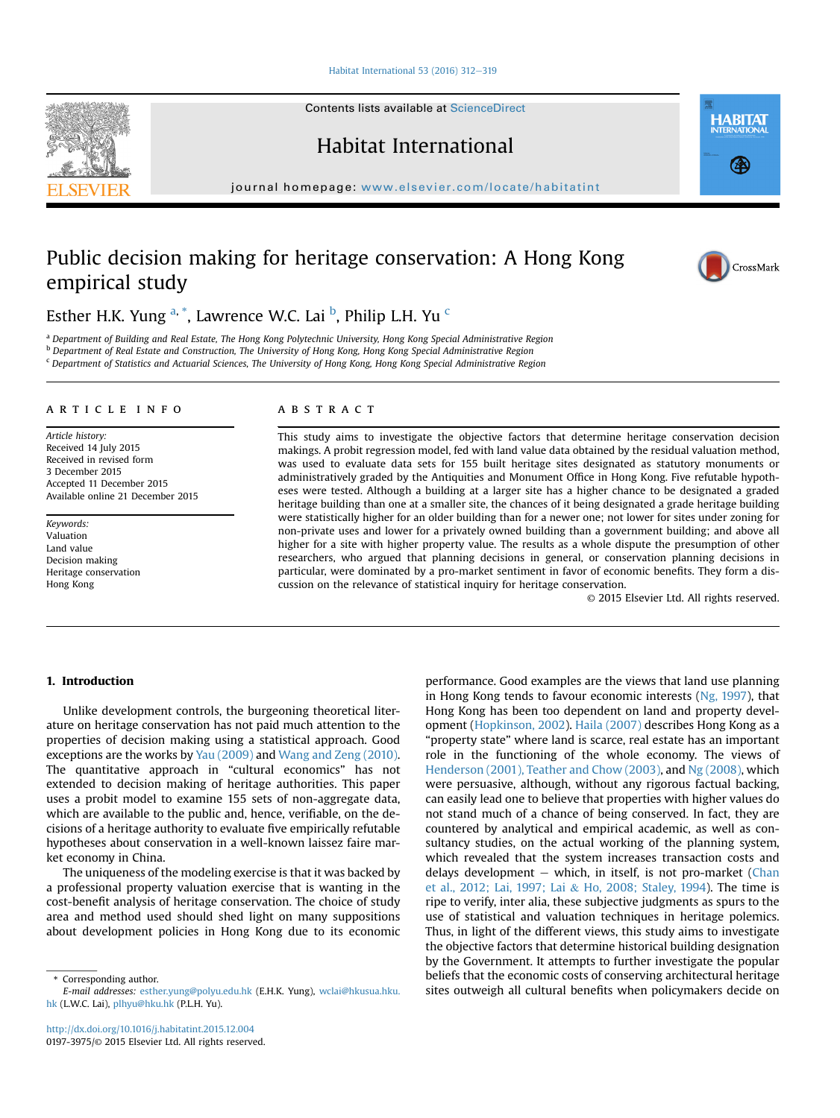[Habitat International 53 \(2016\) 312](http://dx.doi.org/10.1016/j.habitatint.2015.12.004) $-319$  $-319$ 

Contents lists available at ScienceDirect

Habitat International

journal homepage: [www.elsevier.com/locate/habitatint](http://www.elsevier.com/locate/habitatint)

## Public decision making for heritage conservation: A Hong Kong empirical study

Esther H.K. Yung <sup>a, \*</sup>, Lawrence W.C. Lai <sup>b</sup>, Philip L.H. Yu <sup>c</sup>

a Department of Building and Real Estate, The Hong Kong Polytechnic University, Hong Kong Special Administrative Region

**b** Department of Real Estate and Construction, The University of Hong Kong, Hong Kong Special Administrative Region

 $c$  Department of Statistics and Actuarial Sciences, The University of Hong Kong, Hong Kong Special Administrative Region

#### article info

Article history: Received 14 July 2015 Received in revised form 3 December 2015 Accepted 11 December 2015 Available online 21 December 2015

Keywords: Valuation Land value Decision making Heritage conservation Hong Kong

#### **ABSTRACT**

This study aims to investigate the objective factors that determine heritage conservation decision makings. A probit regression model, fed with land value data obtained by the residual valuation method, was used to evaluate data sets for 155 built heritage sites designated as statutory monuments or administratively graded by the Antiquities and Monument Office in Hong Kong. Five refutable hypotheses were tested. Although a building at a larger site has a higher chance to be designated a graded heritage building than one at a smaller site, the chances of it being designated a grade heritage building were statistically higher for an older building than for a newer one; not lower for sites under zoning for non-private uses and lower for a privately owned building than a government building; and above all higher for a site with higher property value. The results as a whole dispute the presumption of other researchers, who argued that planning decisions in general, or conservation planning decisions in particular, were dominated by a pro-market sentiment in favor of economic benefits. They form a discussion on the relevance of statistical inquiry for heritage conservation.

© 2015 Elsevier Ltd. All rights reserved.

### 1. Introduction

Unlike development controls, the burgeoning theoretical literature on heritage conservation has not paid much attention to the properties of decision making using a statistical approach. Good exceptions are the works by Yau (2009) and Wang and Zeng (2010). The quantitative approach in "cultural economics" has not extended to decision making of heritage authorities. This paper uses a probit model to examine 155 sets of non-aggregate data, which are available to the public and, hence, verifiable, on the decisions of a heritage authority to evaluate five empirically refutable hypotheses about conservation in a well-known laissez faire market economy in China.

The uniqueness of the modeling exercise is that it was backed by a professional property valuation exercise that is wanting in the cost-benefit analysis of heritage conservation. The choice of study area and method used should shed light on many suppositions about development policies in Hong Kong due to its economic

\* Corresponding author. E-mail addresses: [esther.yung@polyu.edu.hk](mailto:esther.yung@polyu.edu.hk) (E.H.K. Yung), [wclai@hkusua.hku.](mailto:wclai@hkusua.hku.hk) [hk](mailto:wclai@hkusua.hku.hk) (L.W.C. Lai), [plhyu@hku.hk](mailto:plhyu@hku.hk) (P.L.H. Yu).

<http://dx.doi.org/10.1016/j.habitatint.2015.12.004> 0197-3975/© 2015 Elsevier Ltd. All rights reserved. performance. Good examples are the views that land use planning in Hong Kong tends to favour economic interests (Ng, 1997), that Hong Kong has been too dependent on land and property development (Hopkinson, 2002). Haila (2007) describes Hong Kong as a "property state" where land is scarce, real estate has an important role in the functioning of the whole economy. The views of Henderson (2001), Teather and Chow (2003), and Ng (2008), which were persuasive, although, without any rigorous factual backing, can easily lead one to believe that properties with higher values do not stand much of a chance of being conserved. In fact, they are countered by analytical and empirical academic, as well as consultancy studies, on the actual working of the planning system, which revealed that the system increases transaction costs and delays development  $-$  which, in itself, is not pro-market (Chan et al., 2012; Lai, 1997; Lai & Ho, 2008; Staley, 1994). The time is ripe to verify, inter alia, these subjective judgments as spurs to the use of statistical and valuation techniques in heritage polemics. Thus, in light of the different views, this study aims to investigate the objective factors that determine historical building designation by the Government. It attempts to further investigate the popular beliefs that the economic costs of conserving architectural heritage sites outweigh all cultural benefits when policymakers decide on





**HABITAT** 

④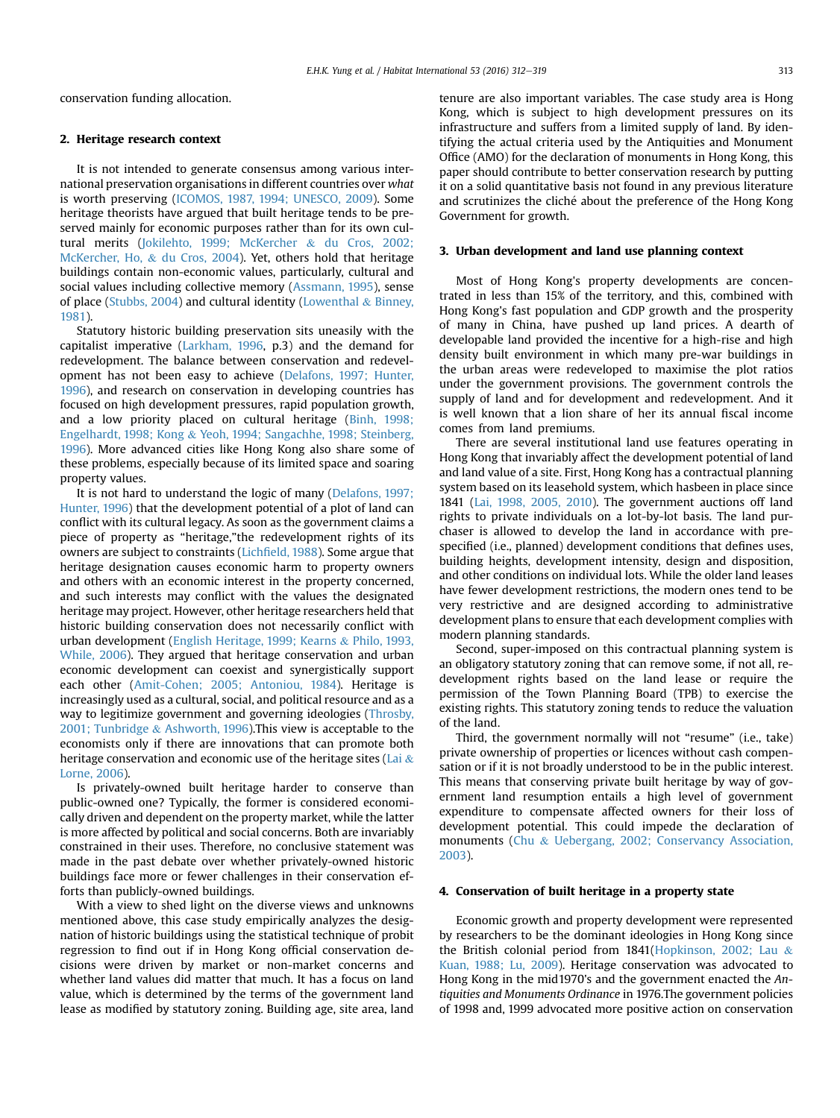conservation funding allocation.

#### 2. Heritage research context

It is not intended to generate consensus among various international preservation organisations in different countries over what is worth preserving (ICOMOS, 1987, 1994; UNESCO, 2009). Some heritage theorists have argued that built heritage tends to be preserved mainly for economic purposes rather than for its own cultural merits (Jokilehto, 1999; McKercher & du Cros, 2002; McKercher, Ho, & du Cros, 2004). Yet, others hold that heritage buildings contain non-economic values, particularly, cultural and social values including collective memory (Assmann, 1995), sense of place (Stubbs, 2004) and cultural identity (Lowenthal  $&$  Binney, 1981).

Statutory historic building preservation sits uneasily with the capitalist imperative (Larkham, 1996, p.3) and the demand for redevelopment. The balance between conservation and redevelopment has not been easy to achieve (Delafons, 1997; Hunter, 1996), and research on conservation in developing countries has focused on high development pressures, rapid population growth, and a low priority placed on cultural heritage (Binh, 1998; Engelhardt, 1998; Kong & Yeoh, 1994; Sangachhe, 1998; Steinberg, 1996). More advanced cities like Hong Kong also share some of these problems, especially because of its limited space and soaring property values.

It is not hard to understand the logic of many (Delafons, 1997; Hunter, 1996) that the development potential of a plot of land can conflict with its cultural legacy. As soon as the government claims a piece of property as "heritage,"the redevelopment rights of its owners are subject to constraints (Lichfield, 1988). Some argue that heritage designation causes economic harm to property owners and others with an economic interest in the property concerned, and such interests may conflict with the values the designated heritage may project. However, other heritage researchers held that historic building conservation does not necessarily conflict with urban development (English Heritage, 1999; Kearns & Philo, 1993, While, 2006). They argued that heritage conservation and urban economic development can coexist and synergistically support each other (Amit-Cohen; 2005; Antoniou, 1984). Heritage is increasingly used as a cultural, social, and political resource and as a way to legitimize government and governing ideologies (Throsby, 2001; Tunbridge & Ashworth, 1996).This view is acceptable to the economists only if there are innovations that can promote both heritage conservation and economic use of the heritage sites (Lai  $\&$ Lorne, 2006).

Is privately-owned built heritage harder to conserve than public-owned one? Typically, the former is considered economically driven and dependent on the property market, while the latter is more affected by political and social concerns. Both are invariably constrained in their uses. Therefore, no conclusive statement was made in the past debate over whether privately-owned historic buildings face more or fewer challenges in their conservation efforts than publicly-owned buildings.

With a view to shed light on the diverse views and unknowns mentioned above, this case study empirically analyzes the designation of historic buildings using the statistical technique of probit regression to find out if in Hong Kong official conservation decisions were driven by market or non-market concerns and whether land values did matter that much. It has a focus on land value, which is determined by the terms of the government land lease as modified by statutory zoning. Building age, site area, land

tenure are also important variables. The case study area is Hong Kong, which is subject to high development pressures on its infrastructure and suffers from a limited supply of land. By identifying the actual criteria used by the Antiquities and Monument Office (AMO) for the declaration of monuments in Hong Kong, this paper should contribute to better conservation research by putting it on a solid quantitative basis not found in any previous literature and scrutinizes the cliche about the preference of the Hong Kong Government for growth.

#### 3. Urban development and land use planning context

Most of Hong Kong's property developments are concentrated in less than 15% of the territory, and this, combined with Hong Kong's fast population and GDP growth and the prosperity of many in China, have pushed up land prices. A dearth of developable land provided the incentive for a high-rise and high density built environment in which many pre-war buildings in the urban areas were redeveloped to maximise the plot ratios under the government provisions. The government controls the supply of land and for development and redevelopment. And it is well known that a lion share of her its annual fiscal income comes from land premiums.

There are several institutional land use features operating in Hong Kong that invariably affect the development potential of land and land value of a site. First, Hong Kong has a contractual planning system based on its leasehold system, which hasbeen in place since 1841 (Lai, 1998, 2005, 2010). The government auctions off land rights to private individuals on a lot-by-lot basis. The land purchaser is allowed to develop the land in accordance with prespecified (i.e., planned) development conditions that defines uses, building heights, development intensity, design and disposition, and other conditions on individual lots. While the older land leases have fewer development restrictions, the modern ones tend to be very restrictive and are designed according to administrative development plans to ensure that each development complies with modern planning standards.

Second, super-imposed on this contractual planning system is an obligatory statutory zoning that can remove some, if not all, redevelopment rights based on the land lease or require the permission of the Town Planning Board (TPB) to exercise the existing rights. This statutory zoning tends to reduce the valuation of the land.

Third, the government normally will not "resume" (i.e., take) private ownership of properties or licences without cash compensation or if it is not broadly understood to be in the public interest. This means that conserving private built heritage by way of government land resumption entails a high level of government expenditure to compensate affected owners for their loss of development potential. This could impede the declaration of monuments (Chu & Uebergang, 2002; Conservancy Association, 2003).

#### 4. Conservation of built heritage in a property state

Economic growth and property development were represented by researchers to be the dominant ideologies in Hong Kong since the British colonial period from 1841(Hopkinson, 2002; Lau & Kuan, 1988; Lu, 2009). Heritage conservation was advocated to Hong Kong in the mid1970's and the government enacted the Antiquities and Monuments Ordinance in 1976.The government policies of 1998 and, 1999 advocated more positive action on conservation